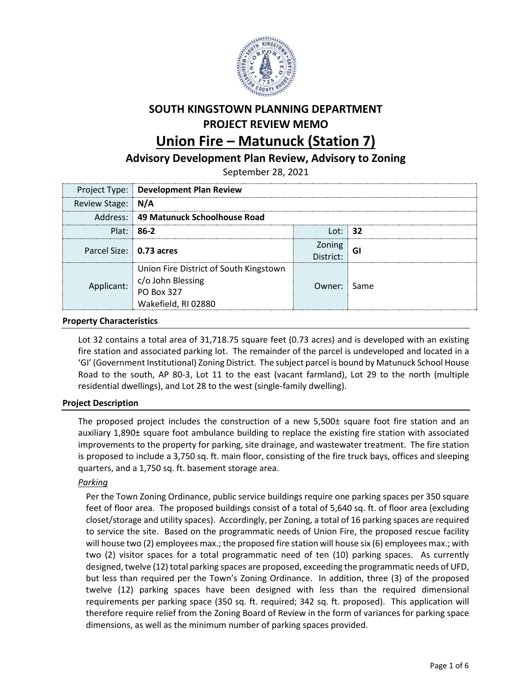

# **SOUTH KINGSTOWN PLANNING DEPARTMENT PROJECT REVIEW MEMO**

## **Union Fire – Matunuck (Station 7)**

## **Advisory Development Plan Review, Advisory to Zoning**

September 28, 2021

|                         | Project Type: Development Plan Review                                                                                                                          |                      |  |
|-------------------------|----------------------------------------------------------------------------------------------------------------------------------------------------------------|----------------------|--|
| Review Stage: N/A       |                                                                                                                                                                |                      |  |
|                         | Address: 49 Matunuck Schoolhouse Road                                                                                                                          |                      |  |
|                         | Plat: $86-2$                                                                                                                                                   | l ot: ⊟ <b>32</b>    |  |
| Parcel Size: 0.73 acres |                                                                                                                                                                | Zoning<br>strict: GI |  |
|                         | Union Fire District of South Kingstown<br>$\text{Dlicant:} \begin{array}{ l } \text{c/o John Blessing} \ \text{PO Box 327} \end{array}$<br>Wakefield, RI 02880 | Owner: Same          |  |

#### **Property Characteristics**

Lot 32 contains a total area of 31,718.75 square feet (0.73 acres) and is developed with an existing fire station and associated parking lot. The remainder of the parcel is undeveloped and located in a 'GI' (Government Institutional) Zoning District. The subject parcel is bound by Matunuck School House Road to the south, AP 80-3, Lot 11 to the east (vacant farmland), Lot 29 to the north (multiple residential dwellings), and Lot 28 to the west (single-family dwelling).

## **Project Description**

The proposed project includes the construction of a new 5,500± square foot fire station and an auxiliary 1,890± square foot ambulance building to replace the existing fire station with associated improvements to the property for parking, site drainage, and wastewater treatment. The fire station is proposed to include a 3,750 sq. ft. main floor, consisting of the fire truck bays, offices and sleeping quarters, and a 1,750 sq. ft. basement storage area.

#### *Parking*

Per the Town Zoning Ordinance, public service buildings require one parking spaces per 350 square feet of floor area. The proposed buildings consist of a total of 5,640 sq. ft. of floor area (excluding closet/storage and utility spaces). Accordingly, per Zoning, a total of 16 parking spaces are required to service the site. Based on the programmatic needs of Union Fire, the proposed rescue facility will house two (2) employees max.; the proposed fire station will house six (6) employees max.; with two (2) visitor spaces for a total programmatic need of ten (10) parking spaces. As currently designed, twelve (12) total parking spaces are proposed, exceeding the programmatic needs of UFD, but less than required per the Town's Zoning Ordinance. In addition, three (3) of the proposed twelve (12) parking spaces have been designed with less than the required dimensional requirements per parking space (350 sq. ft. required; 342 sq. ft. proposed). This application will therefore require relief from the Zoning Board of Review in the form of variances for parking space dimensions, as well as the minimum number of parking spaces provided.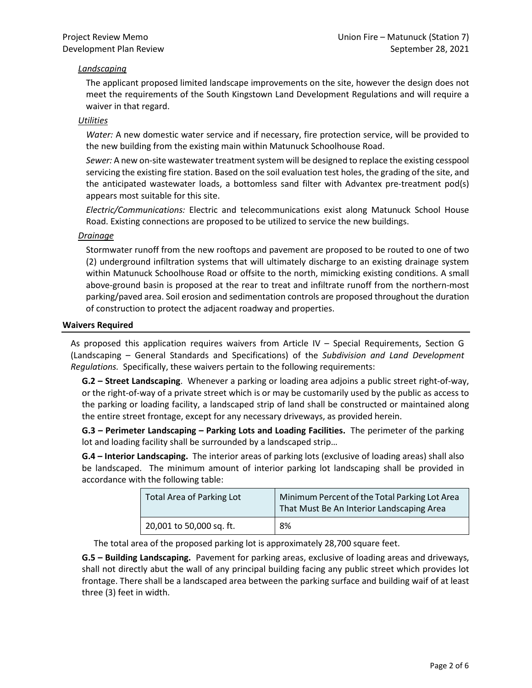### *Landscaping*

The applicant proposed limited landscape improvements on the site, however the design does not meet the requirements of the South Kingstown Land Development Regulations and will require a waiver in that regard.

#### *Utilities*

*Water:* A new domestic water service and if necessary, fire protection service, will be provided to the new building from the existing main within Matunuck Schoolhouse Road.

*Sewer:* A new on-site wastewater treatment system will be designed to replace the existing cesspool servicing the existing fire station. Based on the soil evaluation test holes, the grading of the site, and the anticipated wastewater loads, a bottomless sand filter with Advantex pre-treatment pod(s) appears most suitable for this site.

*Electric/Communications:* Electric and telecommunications exist along Matunuck School House Road. Existing connections are proposed to be utilized to service the new buildings.

#### *Drainage*

Stormwater runoff from the new rooftops and pavement are proposed to be routed to one of two (2) underground infiltration systems that will ultimately discharge to an existing drainage system within Matunuck Schoolhouse Road or offsite to the north, mimicking existing conditions. A small above-ground basin is proposed at the rear to treat and infiltrate runoff from the northern-most parking/paved area. Soil erosion and sedimentation controls are proposed throughout the duration of construction to protect the adjacent roadway and properties.

#### **Waivers Required**

As proposed this application requires waivers from Article IV – Special Requirements, Section G (Landscaping – General Standards and Specifications) of the *Subdivision and Land Development Regulations.* Specifically, these waivers pertain to the following requirements:

**G.2 – Street Landscaping**. Whenever a parking or loading area adjoins a public street right-of-way, or the right-of-way of a private street which is or may be customarily used by the public as access to the parking or loading facility, a landscaped strip of land shall be constructed or maintained along the entire street frontage, except for any necessary driveways, as provided herein.

**G.3 – Perimeter Landscaping – Parking Lots and Loading Facilities.** The perimeter of the parking lot and loading facility shall be surrounded by a landscaped strip…

**G.4 – Interior Landscaping.** The interior areas of parking lots (exclusive of loading areas) shall also be landscaped. The minimum amount of interior parking lot landscaping shall be provided in accordance with the following table:

| Total Area of Parking Lot | Minimum Percent of the Total Parking Lot Area<br>That Must Be An Interior Landscaping Area |
|---------------------------|--------------------------------------------------------------------------------------------|
| 20,001 to 50,000 sq. ft.  | 8%                                                                                         |

The total area of the proposed parking lot is approximately 28,700 square feet.

**G.5 – Building Landscaping.** Pavement for parking areas, exclusive of loading areas and driveways, shall not directly abut the wall of any principal building facing any public street which provides lot frontage. There shall be a landscaped area between the parking surface and building waif of at least three (3) feet in width.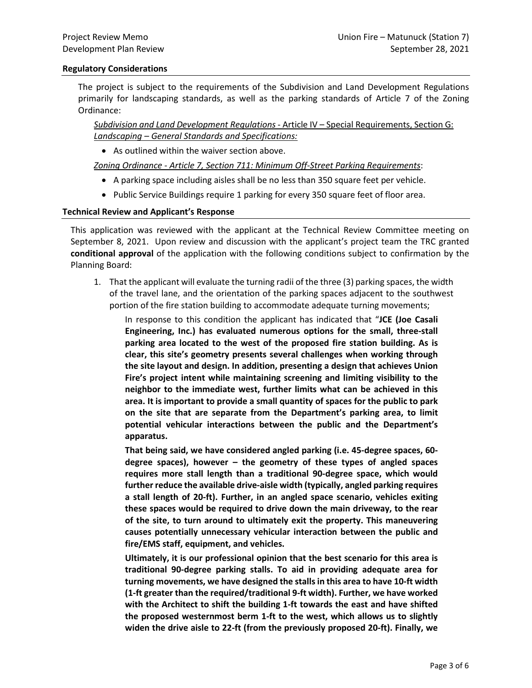#### **Regulatory Considerations**

The project is subject to the requirements of the Subdivision and Land Development Regulations primarily for landscaping standards, as well as the parking standards of Article 7 of the Zoning Ordinance:

*Subdivision and Land Development Regulations* - Article IV – Special Requirements, Section G: *Landscaping – General Standards and Specifications:*

• As outlined within the waiver section above.

*Zoning Ordinance - Article 7, Section 711: Minimum Off-Street Parking Requirements*:

- A parking space including aisles shall be no less than 350 square feet per vehicle.
- Public Service Buildings require 1 parking for every 350 square feet of floor area.

#### **Technical Review and Applicant's Response**

This application was reviewed with the applicant at the Technical Review Committee meeting on September 8, 2021. Upon review and discussion with the applicant's project team the TRC granted **conditional approval** of the application with the following conditions subject to confirmation by the Planning Board:

1. That the applicant will evaluate the turning radii of the three (3) parking spaces, the width of the travel lane, and the orientation of the parking spaces adjacent to the southwest portion of the fire station building to accommodate adequate turning movements;

In response to this condition the applicant has indicated that "**JCE (Joe Casali Engineering, Inc.) has evaluated numerous options for the small, three-stall parking area located to the west of the proposed fire station building. As is clear, this site's geometry presents several challenges when working through the site layout and design. In addition, presenting a design that achieves Union Fire's project intent while maintaining screening and limiting visibility to the neighbor to the immediate west, further limits what can be achieved in this area. It is important to provide a small quantity of spaces for the public to park on the site that are separate from the Department's parking area, to limit potential vehicular interactions between the public and the Department's apparatus.** 

**That being said, we have considered angled parking (i.e. 45-degree spaces, 60 degree spaces), however – the geometry of these types of angled spaces requires more stall length than a traditional 90-degree space, which would further reduce the available drive-aisle width (typically, angled parking requires a stall length of 20-ft). Further, in an angled space scenario, vehicles exiting these spaces would be required to drive down the main driveway, to the rear of the site, to turn around to ultimately exit the property. This maneuvering causes potentially unnecessary vehicular interaction between the public and fire/EMS staff, equipment, and vehicles.**

**Ultimately, it is our professional opinion that the best scenario for this area is traditional 90-degree parking stalls. To aid in providing adequate area for turning movements, we have designed the stalls in this area to have 10-ft width (1-ft greater than the required/traditional 9-ft width). Further, we have worked with the Architect to shift the building 1-ft towards the east and have shifted the proposed westernmost berm 1-ft to the west, which allows us to slightly widen the drive aisle to 22-ft (from the previously proposed 20-ft). Finally, we**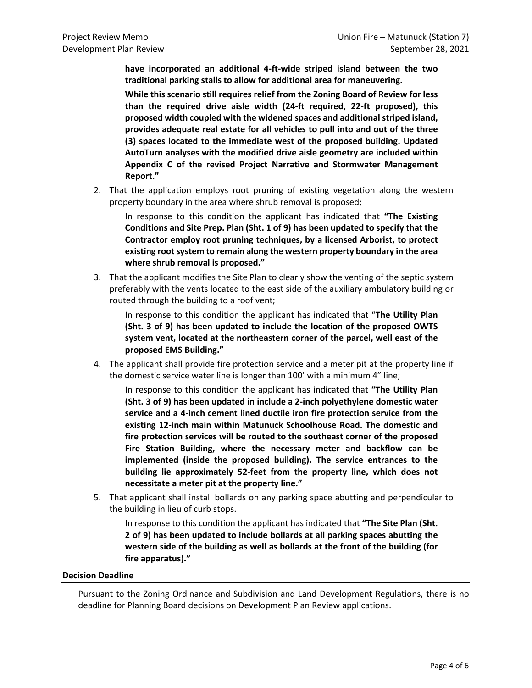**have incorporated an additional 4-ft-wide striped island between the two traditional parking stalls to allow for additional area for maneuvering.** 

**While this scenario still requires relief from the Zoning Board of Review for less than the required drive aisle width (24-ft required, 22-ft proposed), this proposed width coupled with the widened spaces and additional striped island, provides adequate real estate for all vehicles to pull into and out of the three (3) spaces located to the immediate west of the proposed building. Updated AutoTurn analyses with the modified drive aisle geometry are included within Appendix C of the revised Project Narrative and Stormwater Management Report."**

2. That the application employs root pruning of existing vegetation along the western property boundary in the area where shrub removal is proposed;

In response to this condition the applicant has indicated that **"The Existing Conditions and Site Prep. Plan (Sht. 1 of 9) has been updated to specify that the Contractor employ root pruning techniques, by a licensed Arborist, to protect existing root system to remain along the western property boundary in the area where shrub removal is proposed."**

3. That the applicant modifies the Site Plan to clearly show the venting of the septic system preferably with the vents located to the east side of the auxiliary ambulatory building or routed through the building to a roof vent;

In response to this condition the applicant has indicated that "**The Utility Plan (Sht. 3 of 9) has been updated to include the location of the proposed OWTS system vent, located at the northeastern corner of the parcel, well east of the proposed EMS Building."**

4. The applicant shall provide fire protection service and a meter pit at the property line if the domestic service water line is longer than 100' with a minimum 4" line;

In response to this condition the applicant has indicated that **"The Utility Plan (Sht. 3 of 9) has been updated in include a 2-inch polyethylene domestic water service and a 4-inch cement lined ductile iron fire protection service from the existing 12-inch main within Matunuck Schoolhouse Road. The domestic and fire protection services will be routed to the southeast corner of the proposed Fire Station Building, where the necessary meter and backflow can be implemented (inside the proposed building). The service entrances to the building lie approximately 52-feet from the property line, which does not necessitate a meter pit at the property line."**

5. That applicant shall install bollards on any parking space abutting and perpendicular to the building in lieu of curb stops.

In response to this condition the applicant has indicated that **"The Site Plan (Sht. 2 of 9) has been updated to include bollards at all parking spaces abutting the western side of the building as well as bollards at the front of the building (for fire apparatus)."**

#### **Decision Deadline**

Pursuant to the Zoning Ordinance and Subdivision and Land Development Regulations, there is no deadline for Planning Board decisions on Development Plan Review applications.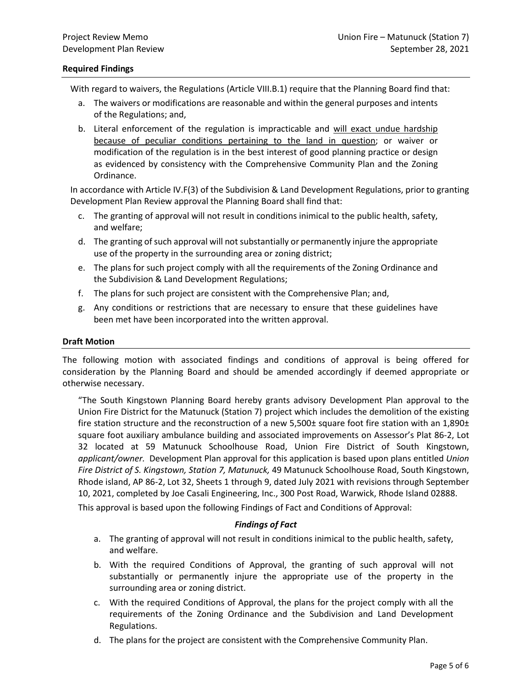#### **Required Findings**

With regard to waivers, the Regulations (Article VIII.B.1) require that the Planning Board find that:

- a. The waivers or modifications are reasonable and within the general purposes and intents of the Regulations; and,
- b. Literal enforcement of the regulation is impracticable and will exact undue hardship because of peculiar conditions pertaining to the land in question; or waiver or modification of the regulation is in the best interest of good planning practice or design as evidenced by consistency with the Comprehensive Community Plan and the Zoning Ordinance.

In accordance with Article IV.F(3) of the Subdivision & Land Development Regulations, prior to granting Development Plan Review approval the Planning Board shall find that:

- c. The granting of approval will not result in conditions inimical to the public health, safety, and welfare;
- d. The granting of such approval will not substantially or permanently injure the appropriate use of the property in the surrounding area or zoning district;
- e. The plans for such project comply with all the requirements of the Zoning Ordinance and the Subdivision & Land Development Regulations;
- f. The plans for such project are consistent with the Comprehensive Plan; and,
- g. Any conditions or restrictions that are necessary to ensure that these guidelines have been met have been incorporated into the written approval.

#### **Draft Motion**

The following motion with associated findings and conditions of approval is being offered for consideration by the Planning Board and should be amended accordingly if deemed appropriate or otherwise necessary.

"The South Kingstown Planning Board hereby grants advisory Development Plan approval to the Union Fire District for the Matunuck (Station 7) project which includes the demolition of the existing fire station structure and the reconstruction of a new 5,500± square foot fire station with an 1,890± square foot auxiliary ambulance building and associated improvements on Assessor's Plat 86-2, Lot 32 located at 59 Matunuck Schoolhouse Road, Union Fire District of South Kingstown, *applicant/owner.* Development Plan approval for this application is based upon plans entitled *Union Fire District of S. Kingstown, Station 7, Matunuck,* 49 Matunuck Schoolhouse Road, South Kingstown, Rhode island, AP 86-2, Lot 32, Sheets 1 through 9, dated July 2021 with revisions through September 10, 2021, completed by Joe Casali Engineering, Inc., 300 Post Road, Warwick, Rhode Island 02888.

This approval is based upon the following Findings of Fact and Conditions of Approval:

#### *Findings of Fact*

- a. The granting of approval will not result in conditions inimical to the public health, safety, and welfare.
- b. With the required Conditions of Approval, the granting of such approval will not substantially or permanently injure the appropriate use of the property in the surrounding area or zoning district.
- c. With the required Conditions of Approval, the plans for the project comply with all the requirements of the Zoning Ordinance and the Subdivision and Land Development Regulations.
- d. The plans for the project are consistent with the Comprehensive Community Plan.